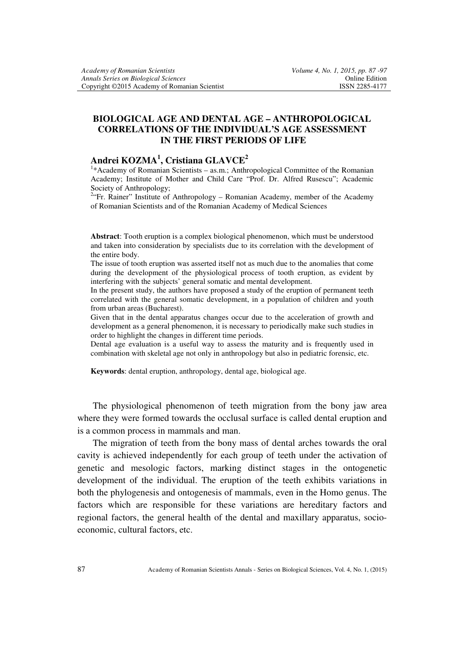## **BIOLOGICAL AGE AND DENTAL AGE – ANTHROPOLOGICAL CORRELATIONS OF THE INDIVIDUAL'S AGE ASSESSMENT IN THE FIRST PERIODS OF LIFE**

## **Andrei KOZMA<sup>1</sup> , Cristiana GLAVCE<sup>2</sup>**

<sup>1</sup>\*Academy of Romanian Scientists – as.m.; Anthropological Committee of the Romanian Academy; Institute of Mother and Child Care "Prof. Dr. Alfred Rusescu"; Academic Society of Anthropology;

<sup>2.</sup> Fr. Rainer" Institute of Anthropology - Romanian Academy, member of the Academy of Romanian Scientists and of the Romanian Academy of Medical Sciences

**Abstract**: Tooth eruption is a complex biological phenomenon, which must be understood and taken into consideration by specialists due to its correlation with the development of the entire body.

The issue of tooth eruption was asserted itself not as much due to the anomalies that come during the development of the physiological process of tooth eruption, as evident by interfering with the subjects' general somatic and mental development.

In the present study, the authors have proposed a study of the eruption of permanent teeth correlated with the general somatic development, in a population of children and youth from urban areas (Bucharest).

Given that in the dental apparatus changes occur due to the acceleration of growth and development as a general phenomenon, it is necessary to periodically make such studies in order to highlight the changes in different time periods.

Dental age evaluation is a useful way to assess the maturity and is frequently used in combination with skeletal age not only in anthropology but also in pediatric forensic, etc.

**Keywords**: dental eruption, anthropology, dental age, biological age.

 The physiological phenomenon of teeth migration from the bony jaw area where they were formed towards the occlusal surface is called dental eruption and is a common process in mammals and man.

 The migration of teeth from the bony mass of dental arches towards the oral cavity is achieved independently for each group of teeth under the activation of genetic and mesologic factors, marking distinct stages in the ontogenetic development of the individual. The eruption of the teeth exhibits variations in both the phylogenesis and ontogenesis of mammals, even in the Homo genus. The factors which are responsible for these variations are hereditary factors and regional factors, the general health of the dental and maxillary apparatus, socioeconomic, cultural factors, etc.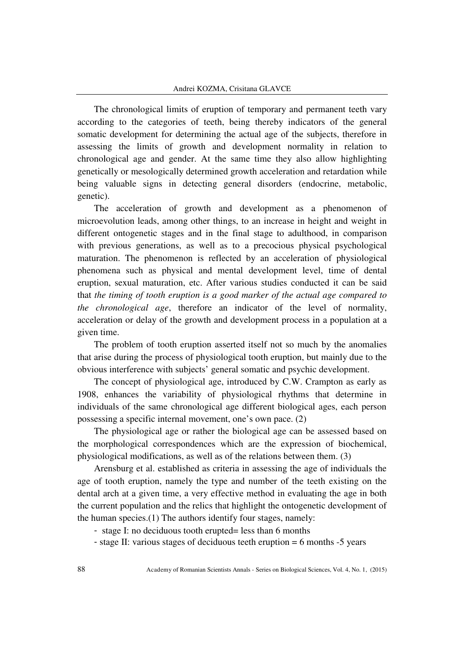The chronological limits of eruption of temporary and permanent teeth vary according to the categories of teeth, being thereby indicators of the general somatic development for determining the actual age of the subjects, therefore in assessing the limits of growth and development normality in relation to chronological age and gender. At the same time they also allow highlighting genetically or mesologically determined growth acceleration and retardation while being valuable signs in detecting general disorders (endocrine, metabolic, genetic).

The acceleration of growth and development as a phenomenon of microevolution leads, among other things, to an increase in height and weight in different ontogenetic stages and in the final stage to adulthood, in comparison with previous generations, as well as to a precocious physical psychological maturation. The phenomenon is reflected by an acceleration of physiological phenomena such as physical and mental development level, time of dental eruption, sexual maturation, etc. After various studies conducted it can be said that *the timing of tooth eruption is a good marker of the actual age compared to the chronological age*, therefore an indicator of the level of normality, acceleration or delay of the growth and development process in a population at a given time.

The problem of tooth eruption asserted itself not so much by the anomalies that arise during the process of physiological tooth eruption, but mainly due to the obvious interference with subjects' general somatic and psychic development.

The concept of physiological age, introduced by C.W. Crampton as early as 1908, enhances the variability of physiological rhythms that determine in individuals of the same chronological age different biological ages, each person possessing a specific internal movement, one's own pace. (2)

The physiological age or rather the biological age can be assessed based on the morphological correspondences which are the expression of biochemical, physiological modifications, as well as of the relations between them. (3)

Arensburg et al. established as criteria in assessing the age of individuals the age of tooth eruption, namely the type and number of the teeth existing on the dental arch at a given time, a very effective method in evaluating the age in both the current population and the relics that highlight the ontogenetic development of the human species.(1) The authors identify four stages, namely:

- stage I: no deciduous tooth erupted= less than 6 months

- stage II: various stages of deciduous teeth eruption = 6 months -5 years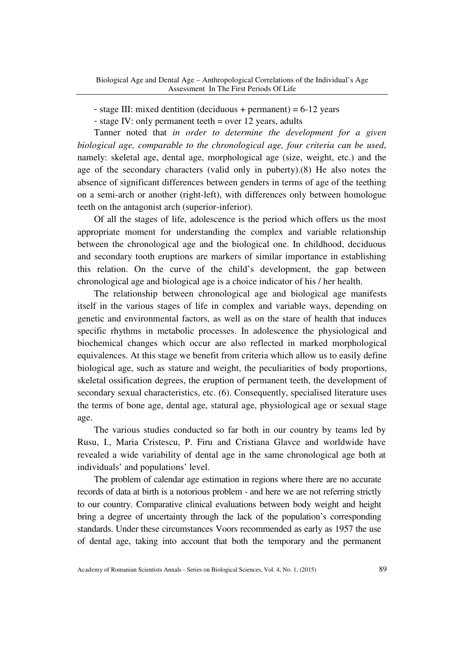- stage III: mixed dentition (deciduous + permanent) = 6-12 years

- stage IV: only permanent teeth = over 12 years, adults

Tanner noted that *in order to determine the development for a given biological age, comparable to the chronological age, four criteria can be used*, namely: skeletal age, dental age, morphological age (size, weight, etc.) and the age of the secondary characters (valid only in puberty).(8) He also notes the absence of significant differences between genders in terms of age of the teething on a semi-arch or another (right-left), with differences only between homologue teeth on the antagonist arch (superior-inferior).

Of all the stages of life, adolescence is the period which offers us the most appropriate moment for understanding the complex and variable relationship between the chronological age and the biological one. In childhood, deciduous and secondary tooth eruptions are markers of similar importance in establishing this relation. On the curve of the child's development, the gap between chronological age and biological age is a choice indicator of his / her health.

The relationship between chronological age and biological age manifests itself in the various stages of life in complex and variable ways, depending on genetic and environmental factors, as well as on the stare of health that induces specific rhythms in metabolic processes. In adolescence the physiological and biochemical changes which occur are also reflected in marked morphological equivalences. At this stage we benefit from criteria which allow us to easily define biological age, such as stature and weight, the peculiarities of body proportions, skeletal ossification degrees, the eruption of permanent teeth, the development of secondary sexual characteristics, etc. (6). Consequently, specialised literature uses the terms of bone age, dental age, statural age, physiological age or sexual stage age.

The various studies conducted so far both in our country by teams led by Rusu, I., Maria Cristescu, P. Firu and Cristiana Glavce and worldwide have revealed a wide variability of dental age in the same chronological age both at individuals' and populations' level.

The problem of calendar age estimation in regions where there are no accurate records of data at birth is a notorious problem - and here we are not referring strictly to our country. Comparative clinical evaluations between body weight and height bring a degree of uncertainty through the lack of the population's corresponding standards. Under these circumstances Voors recommended as early as 1957 the use of dental age, taking into account that both the temporary and the permanent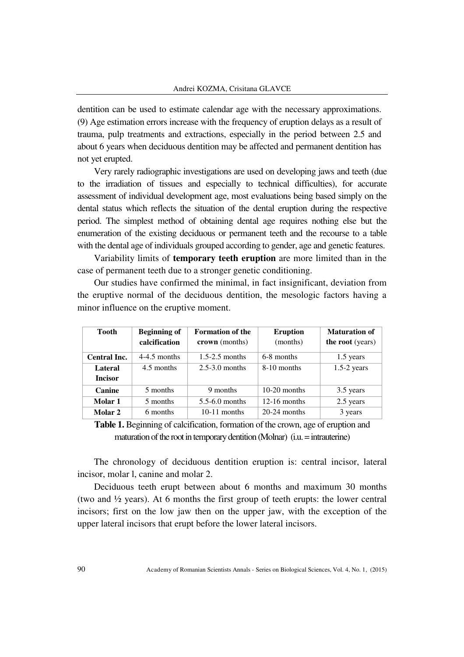dentition can be used to estimate calendar age with the necessary approximations. (9) Age estimation errors increase with the frequency of eruption delays as a result of trauma, pulp treatments and extractions, especially in the period between 2.5 and about 6 years when deciduous dentition may be affected and permanent dentition has not yet erupted.

Very rarely radiographic investigations are used on developing jaws and teeth (due to the irradiation of tissues and especially to technical difficulties), for accurate assessment of individual development age, most evaluations being based simply on the dental status which reflects the situation of the dental eruption during the respective period. The simplest method of obtaining dental age requires nothing else but the enumeration of the existing deciduous or permanent teeth and the recourse to a table with the dental age of individuals grouped according to gender, age and genetic features.

Variability limits of **temporary teeth eruption** are more limited than in the case of permanent teeth due to a stronger genetic conditioning.

Our studies have confirmed the minimal, in fact insignificant, deviation from the eruptive normal of the deciduous dentition, the mesologic factors having a minor influence on the eruptive moment.

| Tooth                     | <b>Beginning of</b><br>calcification | <b>Formation of the</b><br>crown (months) | <b>Eruption</b><br>(months) | <b>Maturation of</b><br>the root (years) |
|---------------------------|--------------------------------------|-------------------------------------------|-----------------------------|------------------------------------------|
| Central Inc.              | $4-4.5$ months                       | $1.5-2.5$ months                          | 6-8 months                  | 1.5 years                                |
| Lateral<br><b>Incisor</b> | 4.5 months                           | $2.5 - 3.0$ months                        | 8-10 months                 | $1.5-2$ years                            |
| Canine                    | 5 months                             | 9 months                                  | $10-20$ months              | 3.5 years                                |
| Molar 1                   | 5 months                             | $5.5 - 6.0$ months                        | $12-16$ months              | 2.5 years                                |
| Molar 2                   | 6 months                             | $10-11$ months                            | $20-24$ months              | 3 years                                  |

**Table 1.** Beginning of calcification, formation of the crown, age of eruption and maturation of the root in temporary dentition (Molnar) (i.u. = intrauterine)

The chronology of deciduous dentition eruption is: central incisor, lateral incisor, molar l, canine and molar 2.

Deciduous teeth erupt between about 6 months and maximum 30 months (two and ½ years). At 6 months the first group of teeth erupts: the lower central incisors; first on the low jaw then on the upper jaw, with the exception of the upper lateral incisors that erupt before the lower lateral incisors.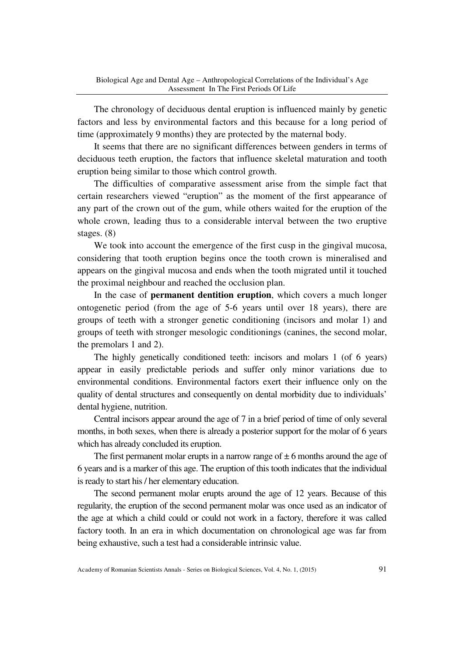The chronology of deciduous dental eruption is influenced mainly by genetic factors and less by environmental factors and this because for a long period of time (approximately 9 months) they are protected by the maternal body.

It seems that there are no significant differences between genders in terms of deciduous teeth eruption, the factors that influence skeletal maturation and tooth eruption being similar to those which control growth.

The difficulties of comparative assessment arise from the simple fact that certain researchers viewed "eruption" as the moment of the first appearance of any part of the crown out of the gum, while others waited for the eruption of the whole crown, leading thus to a considerable interval between the two eruptive stages. (8)

We took into account the emergence of the first cusp in the gingival mucosa, considering that tooth eruption begins once the tooth crown is mineralised and appears on the gingival mucosa and ends when the tooth migrated until it touched the proximal neighbour and reached the occlusion plan.

In the case of **permanent dentition eruption**, which covers a much longer ontogenetic period (from the age of 5-6 years until over 18 years), there are groups of teeth with a stronger genetic conditioning (incisors and molar 1) and groups of teeth with stronger mesologic conditionings (canines, the second molar, the premolars 1 and 2).

The highly genetically conditioned teeth: incisors and molars 1 (of 6 years) appear in easily predictable periods and suffer only minor variations due to environmental conditions. Environmental factors exert their influence only on the quality of dental structures and consequently on dental morbidity due to individuals' dental hygiene, nutrition.

Central incisors appear around the age of 7 in a brief period of time of only several months, in both sexes, when there is already a posterior support for the molar of 6 years which has already concluded its eruption.

The first permanent molar erupts in a narrow range of  $\pm$  6 months around the age of 6 years and is a marker of this age. The eruption of this tooth indicates that the individual is ready to start his / her elementary education.

The second permanent molar erupts around the age of 12 years. Because of this regularity, the eruption of the second permanent molar was once used as an indicator of the age at which a child could or could not work in a factory, therefore it was called factory tooth. In an era in which documentation on chronological age was far from being exhaustive, such a test had a considerable intrinsic value.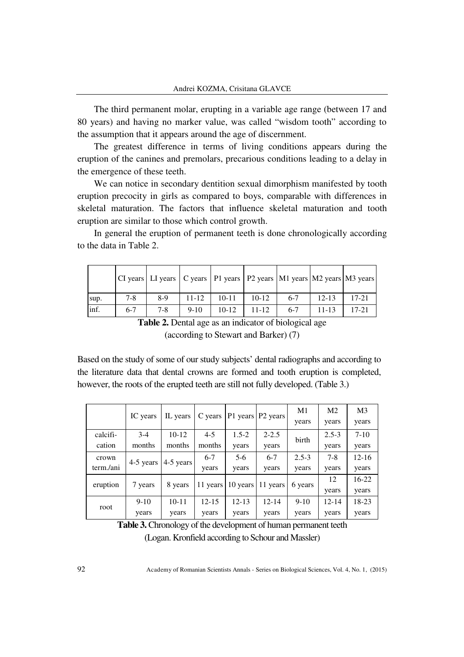The third permanent molar, erupting in a variable age range (between 17 and 80 years) and having no marker value, was called "wisdom tooth" according to the assumption that it appears around the age of discernment.

The greatest difference in terms of living conditions appears during the eruption of the canines and premolars, precarious conditions leading to a delay in the emergence of these teeth.

We can notice in secondary dentition sexual dimorphism manifested by tooth eruption precocity in girls as compared to boys, comparable with differences in skeletal maturation. The factors that influence skeletal maturation and tooth eruption are similar to those which control growth.

In general the eruption of permanent teeth is done chronologically according to the data in Table 2.

|      |       |         |           |           |           |       |           | CI years   LI years   C years   P1 years   P2 years   M1 years   M2 years   M3 years |
|------|-------|---------|-----------|-----------|-----------|-------|-----------|--------------------------------------------------------------------------------------|
| sup. | $7-8$ | 8-9     | $11 - 12$ | $10 - 11$ | $10-12$   | $6-7$ | $12 - 13$ | $17 - 21$                                                                            |
| inf. | $6-7$ | $7 - 8$ | $9-10$    | $10-12$   | $11 - 12$ | $6-7$ | $11 - 13$ | $17 - 21$                                                                            |

**Table 2.** Dental age as an indicator of biological age (according to Stewart and Barker) (7)

Based on the study of some of our study subjects' dental radiographs and according to the literature data that dental crowns are formed and tooth eruption is completed, however, the roots of the erupted teeth are still not fully developed. (Table 3.)

|           |           | IL years  | C years   | P1 years   P2 years |                      | M1        | M <sub>2</sub> | M <sub>3</sub> |
|-----------|-----------|-----------|-----------|---------------------|----------------------|-----------|----------------|----------------|
|           | IC years  |           |           |                     |                      | years     | years          | years          |
| calcifi-  | $3-4$     | $10-12$   | $4 - 5$   | $1.5 - 2$           | $2 - 2.5$            | birth     | $2.5 - 3$      | $7 - 10$       |
| cation    | months    | months    | months    | years               | years                |           | years          | years          |
| crown     | 4-5 years | 4-5 years | $6-7$     | 5-6                 | $6 - 7$              | $2.5 - 3$ | $7-8$          | $12 - 16$      |
| term./ani |           |           | years     | years               | years                | years     | years          | years          |
| eruption  | 7 years   | 8 years   | 11 years  |                     | 10 years $ 11$ years | 6 years   | 12             | $16-22$        |
|           |           |           |           |                     |                      |           | years          | years          |
| root      | $9-10$    | $10 - 11$ | $12 - 15$ | $12 - 13$           | $12 - 14$            | $9-10$    | $12 - 14$      | 18-23          |
|           | years     | years     | years     | years               | years                | years     | years          | years          |

Table 3. Chronology of the development of human permanent teeth (Logan. Kronfield according to Schour and Massler)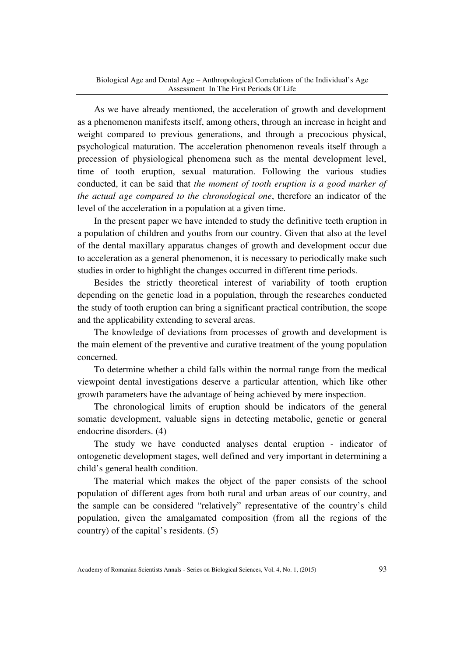As we have already mentioned, the acceleration of growth and development as a phenomenon manifests itself, among others, through an increase in height and weight compared to previous generations, and through a precocious physical, psychological maturation. The acceleration phenomenon reveals itself through a precession of physiological phenomena such as the mental development level, time of tooth eruption, sexual maturation. Following the various studies conducted, it can be said that *the moment of tooth eruption is a good marker of the actual age compared to the chronological one*, therefore an indicator of the level of the acceleration in a population at a given time.

In the present paper we have intended to study the definitive teeth eruption in a population of children and youths from our country. Given that also at the level of the dental maxillary apparatus changes of growth and development occur due to acceleration as a general phenomenon, it is necessary to periodically make such studies in order to highlight the changes occurred in different time periods.

Besides the strictly theoretical interest of variability of tooth eruption depending on the genetic load in a population, through the researches conducted the study of tooth eruption can bring a significant practical contribution, the scope and the applicability extending to several areas.

The knowledge of deviations from processes of growth and development is the main element of the preventive and curative treatment of the young population concerned.

To determine whether a child falls within the normal range from the medical viewpoint dental investigations deserve a particular attention, which like other growth parameters have the advantage of being achieved by mere inspection.

The chronological limits of eruption should be indicators of the general somatic development, valuable signs in detecting metabolic, genetic or general endocrine disorders. (4)

The study we have conducted analyses dental eruption - indicator of ontogenetic development stages, well defined and very important in determining a child's general health condition.

The material which makes the object of the paper consists of the school population of different ages from both rural and urban areas of our country, and the sample can be considered "relatively" representative of the country's child population, given the amalgamated composition (from all the regions of the country) of the capital's residents. (5)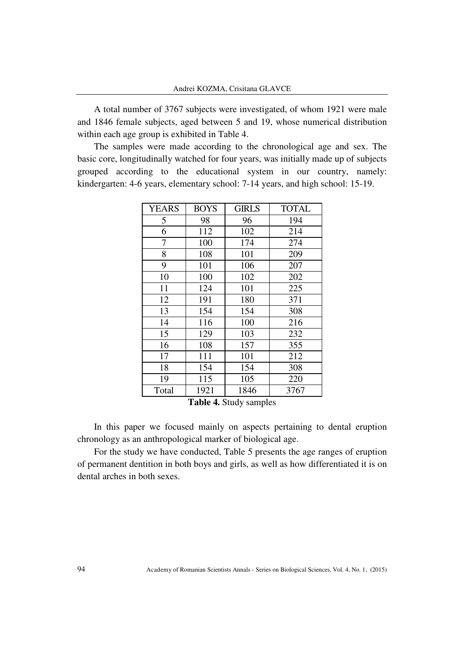A total number of 3767 subjects were investigated, of whom 1921 were male and 1846 female subjects, aged between 5 and 19, whose numerical distribution within each age group is exhibited in Table 4.

The samples were made according to the chronological age and sex. The basic core, longitudinally watched for four years, was initially made up of subjects grouped according to the educational system in our country, namely: kindergarten: 4-6 years, elementary school: 7-14 years, and high school: 15-19.

| <b>YEARS</b> | <b>BOYS</b> | <b>GIRLS</b> | <b>TOTAL</b> |
|--------------|-------------|--------------|--------------|
| 5            | 98          | 96           | 194          |
| 6            | 112         | 102          | 214          |
| 7            | 100         | 174          | 274          |
| 8            | 108         | 101          | 209          |
| 9            | 101         | 106          | 207          |
| 10           | 100         | 102          | 202          |
| 11           | 124         | 101          | 225          |
| 12           | 191         | 180          | 371          |
| 13           | 154         | 154          | 308          |
| 14           | 116         | 100          | 216          |
| 15           | 129         | 103          | 232          |
| 16           | 108         | 157          | 355          |
| 17           | 111         | 101          | 212          |
| 18           | 154         | 154          | 308          |
| 19           | 115         | 105          | 220          |
| Total        | 1921        | 1846         | 3767         |

**Table 4.** Study samples

In this paper we focused mainly on aspects pertaining to dental eruption chronology as an anthropological marker of biological age.

For the study we have conducted, Table 5 presents the age ranges of eruption of permanent dentition in both boys and girls, as well as how differentiated it is on dental arches in both sexes.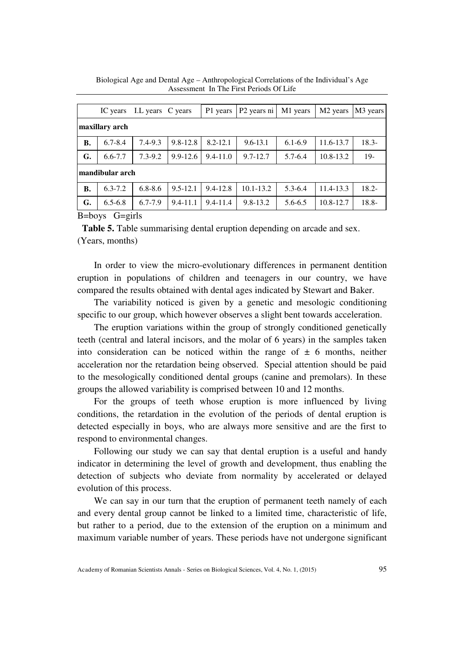|                                        |                | IC years I.L years C years |              | P1 years     | P <sub>2</sub> years ni | M1 years    | M <sub>2</sub> years | M3 years |  |  |
|----------------------------------------|----------------|----------------------------|--------------|--------------|-------------------------|-------------|----------------------|----------|--|--|
|                                        | maxillary arch |                            |              |              |                         |             |                      |          |  |  |
| <b>B.</b>                              | $6.7 - 8.4$    | $7.4 - 9.3$                | $9.8 - 12.8$ | $8.2 - 12.1$ | $9.6 - 13.1$            | $6.1 - 6.9$ | 11.6-13.7            | $18.3 -$ |  |  |
| G.                                     | $6.6 - 7.7$    | $7.3 - 9.2$                | $9.9 - 12.6$ | $9.4 - 11.0$ | $9.7 - 12.7$            | $5.7 - 6.4$ | 10.8-13.2            | $19-$    |  |  |
| mandibular arch                        |                |                            |              |              |                         |             |                      |          |  |  |
| <b>B.</b>                              | $6.3 - 7.2$    | $6.8 - 8.6$                | $9.5 - 12.1$ | $9.4 - 12.8$ | $10.1 - 13.2$           | $5.3 - 6.4$ | 11.4-13.3            | $18.2 -$ |  |  |
| G.                                     | $6.5 - 6.8$    | $6.7 - 7.9$                | $9.4 - 11.1$ | $9.4 - 11.4$ | $9.8 - 13.2$            | 5.6-6.5     | 10.8-12.7            | $18.8 -$ |  |  |
| $D_{\text{above}}$ $C_{\text{circle}}$ |                |                            |              |              |                         |             |                      |          |  |  |

Biological Age and Dental Age – Anthropological Correlations of the Individual's Age Assessment In The First Periods Of Life

B=boys G=girls

**Table 5.** Table summarising dental eruption depending on arcade and sex. (Years, months)

In order to view the micro-evolutionary differences in permanent dentition eruption in populations of children and teenagers in our country, we have compared the results obtained with dental ages indicated by Stewart and Baker.

The variability noticed is given by a genetic and mesologic conditioning specific to our group, which however observes a slight bent towards acceleration.

The eruption variations within the group of strongly conditioned genetically teeth (central and lateral incisors, and the molar of 6 years) in the samples taken into consideration can be noticed within the range of  $\pm$  6 months, neither acceleration nor the retardation being observed. Special attention should be paid to the mesologically conditioned dental groups (canine and premolars). In these groups the allowed variability is comprised between 10 and 12 months.

For the groups of teeth whose eruption is more influenced by living conditions, the retardation in the evolution of the periods of dental eruption is detected especially in boys, who are always more sensitive and are the first to respond to environmental changes.

Following our study we can say that dental eruption is a useful and handy indicator in determining the level of growth and development, thus enabling the detection of subjects who deviate from normality by accelerated or delayed evolution of this process.

We can say in our turn that the eruption of permanent teeth namely of each and every dental group cannot be linked to a limited time, characteristic of life, but rather to a period, due to the extension of the eruption on a minimum and maximum variable number of years. These periods have not undergone significant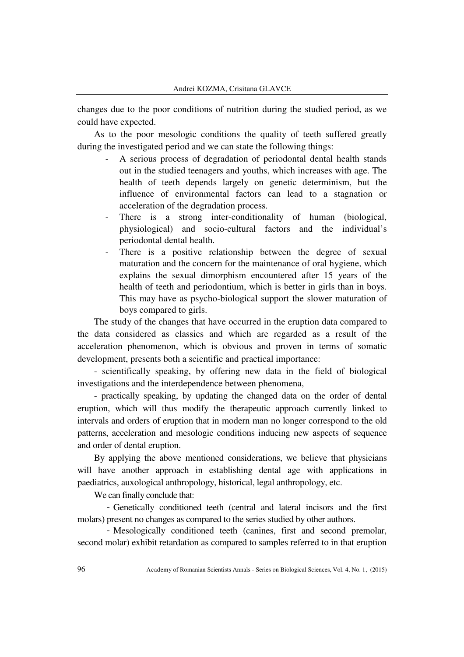changes due to the poor conditions of nutrition during the studied period, as we could have expected.

As to the poor mesologic conditions the quality of teeth suffered greatly during the investigated period and we can state the following things:

- A serious process of degradation of periodontal dental health stands out in the studied teenagers and youths, which increases with age. The health of teeth depends largely on genetic determinism, but the influence of environmental factors can lead to a stagnation or acceleration of the degradation process.
- There is a strong inter-conditionality of human (biological, physiological) and socio-cultural factors and the individual's periodontal dental health.
- There is a positive relationship between the degree of sexual maturation and the concern for the maintenance of oral hygiene, which explains the sexual dimorphism encountered after 15 years of the health of teeth and periodontium, which is better in girls than in boys. This may have as psycho-biological support the slower maturation of boys compared to girls.

The study of the changes that have occurred in the eruption data compared to the data considered as classics and which are regarded as a result of the acceleration phenomenon, which is obvious and proven in terms of somatic development, presents both a scientific and practical importance:

- scientifically speaking, by offering new data in the field of biological investigations and the interdependence between phenomena,

- practically speaking, by updating the changed data on the order of dental eruption, which will thus modify the therapeutic approach currently linked to intervals and orders of eruption that in modern man no longer correspond to the old patterns, acceleration and mesologic conditions inducing new aspects of sequence and order of dental eruption.

By applying the above mentioned considerations, we believe that physicians will have another approach in establishing dental age with applications in paediatrics, auxological anthropology, historical, legal anthropology, etc.

We can finally conclude that:

- Genetically conditioned teeth (central and lateral incisors and the first molars) present no changes as compared to the series studied by other authors.

- Mesologically conditioned teeth (canines, first and second premolar, second molar) exhibit retardation as compared to samples referred to in that eruption